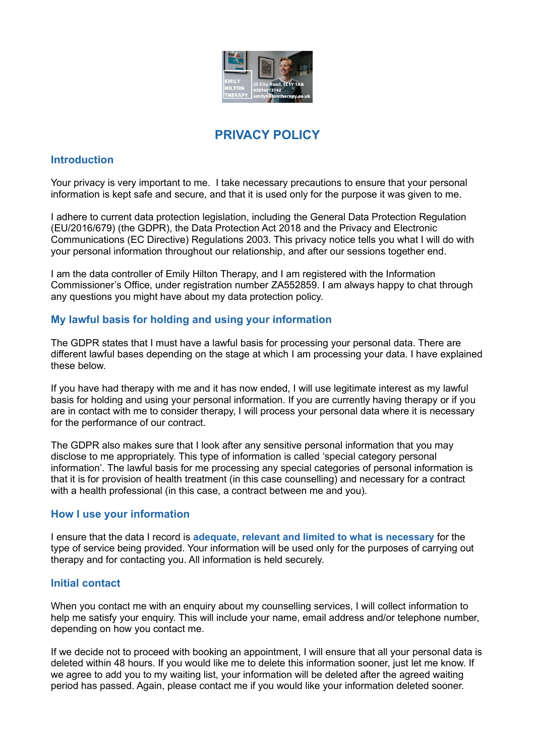

# **PRIVACY POLICY**

# **Introduction**

Your privacy is very important to me. I take necessary precautions to ensure that your personal information is kept safe and secure, and that it is used only for the purpose it was given to me.

I adhere to current data protection legislation, including the General Data Protection Regulation (EU/2016/679) (the GDPR), the Data Protection Act 2018 and the Privacy and Electronic Communications (EC Directive) Regulations 2003. This privacy notice tells you what I will do with your personal information throughout our relationship, and after our sessions together end.

I am the data controller of Emily Hilton Therapy, and I am registered with the Information Commissioner's Office, under registration number ZA552859. I am always happy to chat through any questions you might have about my data protection policy.

# **My lawful basis for holding and using your information**

The GDPR states that I must have a lawful basis for processing your personal data. There are different lawful bases depending on the stage at which I am processing your data. I have explained these below.

If you have had therapy with me and it has now ended, I will use legitimate interest as my lawful basis for holding and using your personal information. If you are currently having therapy or if you are in contact with me to consider therapy, I will process your personal data where it is necessary for the performance of our contract.

The GDPR also makes sure that I look after any sensitive personal information that you may disclose to me appropriately. This type of information is called 'special category personal information'. The lawful basis for me processing any special categories of personal information is that it is for provision of health treatment (in this case counselling) and necessary for a contract with a health professional (in this case, a contract between me and you).

## **How I use your information**

I ensure that the data I record is **adequate, relevant and limited to what is necessary** for the type of service being provided. Your information will be used only for the purposes of carrying out therapy and for contacting you. All information is held securely.

# **Initial contact**

When you contact me with an enquiry about my counselling services, I will collect information to help me satisfy your enquiry. This will include your name, email address and/or telephone number, depending on how you contact me.

If we decide not to proceed with booking an appointment, I will ensure that all your personal data is deleted within 48 hours. If you would like me to delete this information sooner, just let me know. If we agree to add you to my waiting list, your information will be deleted after the agreed waiting period has passed. Again, please contact me if you would like your information deleted sooner.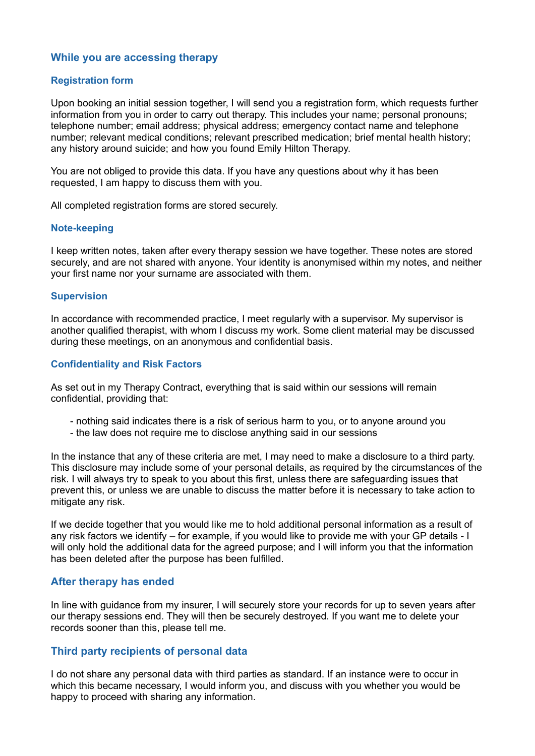# **While you are accessing therapy**

### **Registration form**

Upon booking an initial session together, I will send you a registration form, which requests further information from you in order to carry out therapy. This includes your name; personal pronouns; telephone number; email address; physical address; emergency contact name and telephone number; relevant medical conditions; relevant prescribed medication; brief mental health history; any history around suicide; and how you found Emily Hilton Therapy.

You are not obliged to provide this data. If you have any questions about why it has been requested, I am happy to discuss them with you.

All completed registration forms are stored securely.

#### **Note-keeping**

I keep written notes, taken after every therapy session we have together. These notes are stored securely, and are not shared with anyone. Your identity is anonymised within my notes, and neither your first name nor your surname are associated with them.

#### **Supervision**

In accordance with recommended practice, I meet regularly with a supervisor. My supervisor is another qualified therapist, with whom I discuss my work. Some client material may be discussed during these meetings, on an anonymous and confidential basis.

### **Confidentiality and Risk Factors**

As set out in my Therapy Contract, everything that is said within our sessions will remain confidential, providing that:

- nothing said indicates there is a risk of serious harm to you, or to anyone around you
- the law does not require me to disclose anything said in our sessions

In the instance that any of these criteria are met, I may need to make a disclosure to a third party. This disclosure may include some of your personal details, as required by the circumstances of the risk. I will always try to speak to you about this first, unless there are safeguarding issues that prevent this, or unless we are unable to discuss the matter before it is necessary to take action to mitigate any risk.

If we decide together that you would like me to hold additional personal information as a result of any risk factors we identify – for example, if you would like to provide me with your GP details - I will only hold the additional data for the agreed purpose; and I will inform you that the information has been deleted after the purpose has been fulfilled.

## **After therapy has ended**

In line with guidance from my insurer, I will securely store your records for up to seven years after our therapy sessions end. They will then be securely destroyed. If you want me to delete your records sooner than this, please tell me.

## **Third party recipients of personal data**

I do not share any personal data with third parties as standard. If an instance were to occur in which this became necessary, I would inform you, and discuss with you whether you would be happy to proceed with sharing any information.